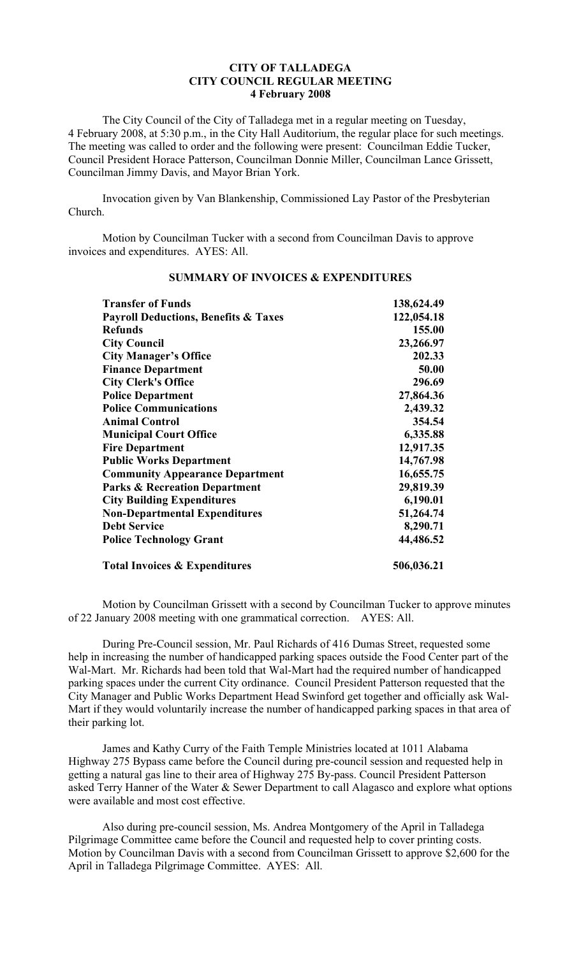## **CITY OF TALLADEGA CITY COUNCIL REGULAR MEETING 4 February 2008**

The City Council of the City of Talladega met in a regular meeting on Tuesday, 4 February 2008, at 5:30 p.m., in the City Hall Auditorium, the regular place for such meetings. The meeting was called to order and the following were present: Councilman Eddie Tucker, Council President Horace Patterson, Councilman Donnie Miller, Councilman Lance Grissett, Councilman Jimmy Davis, and Mayor Brian York.

Invocation given by Van Blankenship, Commissioned Lay Pastor of the Presbyterian Church.

Motion by Councilman Tucker with a second from Councilman Davis to approve invoices and expenditures. AYES: All.

| <b>Transfer of Funds</b><br><b>Payroll Deductions, Benefits &amp; Taxes</b><br><b>Refunds</b><br><b>City Council</b><br><b>City Manager's Office</b> | 138,624.49<br>122,054.18<br>155.00<br>23,266.97<br>202.33 |                                                                                                                                                                                                                                                                                                    |                                                                                                           |                                      |           |
|------------------------------------------------------------------------------------------------------------------------------------------------------|-----------------------------------------------------------|----------------------------------------------------------------------------------------------------------------------------------------------------------------------------------------------------------------------------------------------------------------------------------------------------|-----------------------------------------------------------------------------------------------------------|--------------------------------------|-----------|
|                                                                                                                                                      |                                                           | <b>Finance Department</b>                                                                                                                                                                                                                                                                          | 50.00                                                                                                     |                                      |           |
|                                                                                                                                                      |                                                           | <b>City Clerk's Office</b><br><b>Police Department</b><br><b>Police Communications</b><br><b>Animal Control</b><br><b>Municipal Court Office</b><br><b>Fire Department</b><br><b>Public Works Department</b><br><b>Community Appearance Department</b><br><b>Parks &amp; Recreation Department</b> | 296.69<br>27,864.36<br>2,439.32<br>354.54<br>6,335.88<br>12,917.35<br>14,767.98<br>16,655.75<br>29,819.39 |                                      |           |
|                                                                                                                                                      |                                                           |                                                                                                                                                                                                                                                                                                    |                                                                                                           | <b>City Building Expenditures</b>    | 6,190.01  |
|                                                                                                                                                      |                                                           |                                                                                                                                                                                                                                                                                                    |                                                                                                           | <b>Non-Departmental Expenditures</b> | 51,264.74 |
| <b>Debt Service</b>                                                                                                                                  | 8,290.71                                                  |                                                                                                                                                                                                                                                                                                    |                                                                                                           |                                      |           |
| <b>Police Technology Grant</b>                                                                                                                       | 44,486.52                                                 |                                                                                                                                                                                                                                                                                                    |                                                                                                           |                                      |           |
| <b>Total Invoices &amp; Expenditures</b>                                                                                                             | 506,036.21                                                |                                                                                                                                                                                                                                                                                                    |                                                                                                           |                                      |           |

## **SUMMARY OF INVOICES & EXPENDITURES**

Motion by Councilman Grissett with a second by Councilman Tucker to approve minutes of 22 January 2008 meeting with one grammatical correction. AYES: All.

During Pre-Council session, Mr. Paul Richards of 416 Dumas Street, requested some help in increasing the number of handicapped parking spaces outside the Food Center part of the Wal-Mart. Mr. Richards had been told that Wal-Mart had the required number of handicapped parking spaces under the current City ordinance. Council President Patterson requested that the City Manager and Public Works Department Head Swinford get together and officially ask Wal-Mart if they would voluntarily increase the number of handicapped parking spaces in that area of their parking lot.

James and Kathy Curry of the Faith Temple Ministries located at 1011 Alabama Highway 275 Bypass came before the Council during pre-council session and requested help in getting a natural gas line to their area of Highway 275 By-pass. Council President Patterson asked Terry Hanner of the Water & Sewer Department to call Alagasco and explore what options were available and most cost effective.

Also during pre-council session, Ms. Andrea Montgomery of the April in Talladega Pilgrimage Committee came before the Council and requested help to cover printing costs. Motion by Councilman Davis with a second from Councilman Grissett to approve \$2,600 for the April in Talladega Pilgrimage Committee. AYES: All.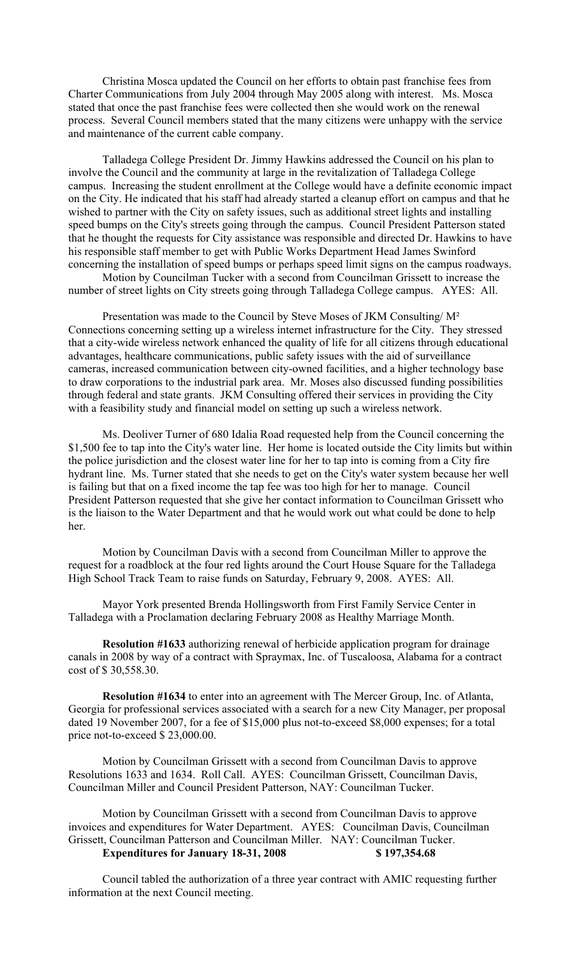Christina Mosca updated the Council on her efforts to obtain past franchise fees from Charter Communications from July 2004 through May 2005 along with interest. Ms. Mosca stated that once the past franchise fees were collected then she would work on the renewal process. Several Council members stated that the many citizens were unhappy with the service and maintenance of the current cable company.

Talladega College President Dr. Jimmy Hawkins addressed the Council on his plan to involve the Council and the community at large in the revitalization of Talladega College campus. Increasing the student enrollment at the College would have a definite economic impact on the City. He indicated that his staff had already started a cleanup effort on campus and that he wished to partner with the City on safety issues, such as additional street lights and installing speed bumps on the City's streets going through the campus. Council President Patterson stated that he thought the requests for City assistance was responsible and directed Dr. Hawkins to have his responsible staff member to get with Public Works Department Head James Swinford concerning the installation of speed bumps or perhaps speed limit signs on the campus roadways.

Motion by Councilman Tucker with a second from Councilman Grissett to increase the number of street lights on City streets going through Talladega College campus. AYES: All.

Presentation was made to the Council by Steve Moses of JKM Consulting/ M² Connections concerning setting up a wireless internet infrastructure for the City. They stressed that a city-wide wireless network enhanced the quality of life for all citizens through educational advantages, healthcare communications, public safety issues with the aid of surveillance cameras, increased communication between city-owned facilities, and a higher technology base to draw corporations to the industrial park area. Mr. Moses also discussed funding possibilities through federal and state grants. JKM Consulting offered their services in providing the City with a feasibility study and financial model on setting up such a wireless network.

Ms. Deoliver Turner of 680 Idalia Road requested help from the Council concerning the \$1,500 fee to tap into the City's water line. Her home is located outside the City limits but within the police jurisdiction and the closest water line for her to tap into is coming from a City fire hydrant line. Ms. Turner stated that she needs to get on the City's water system because her well is failing but that on a fixed income the tap fee was too high for her to manage. Council President Patterson requested that she give her contact information to Councilman Grissett who is the liaison to the Water Department and that he would work out what could be done to help her.

Motion by Councilman Davis with a second from Councilman Miller to approve the request for a roadblock at the four red lights around the Court House Square for the Talladega High School Track Team to raise funds on Saturday, February 9, 2008. AYES: All.

Mayor York presented Brenda Hollingsworth from First Family Service Center in Talladega with a Proclamation declaring February 2008 as Healthy Marriage Month.

**Resolution #1633** authorizing renewal of herbicide application program for drainage canals in 2008 by way of a contract with Spraymax, Inc. of Tuscaloosa, Alabama for a contract cost of \$ 30,558.30.

**Resolution #1634** to enter into an agreement with The Mercer Group, Inc. of Atlanta, Georgia for professional services associated with a search for a new City Manager, per proposal dated 19 November 2007, for a fee of \$15,000 plus not-to-exceed \$8,000 expenses; for a total price not-to-exceed \$ 23,000.00.

Motion by Councilman Grissett with a second from Councilman Davis to approve Resolutions 1633 and 1634. Roll Call. AYES: Councilman Grissett, Councilman Davis, Councilman Miller and Council President Patterson, NAY: Councilman Tucker.

Motion by Councilman Grissett with a second from Councilman Davis to approve invoices and expenditures for Water Department. AYES: Councilman Davis, Councilman Grissett, Councilman Patterson and Councilman Miller. NAY: Councilman Tucker. **Expenditures for January 18-31, 2008 \$ 197,354.68**

Council tabled the authorization of a three year contract with AMIC requesting further information at the next Council meeting.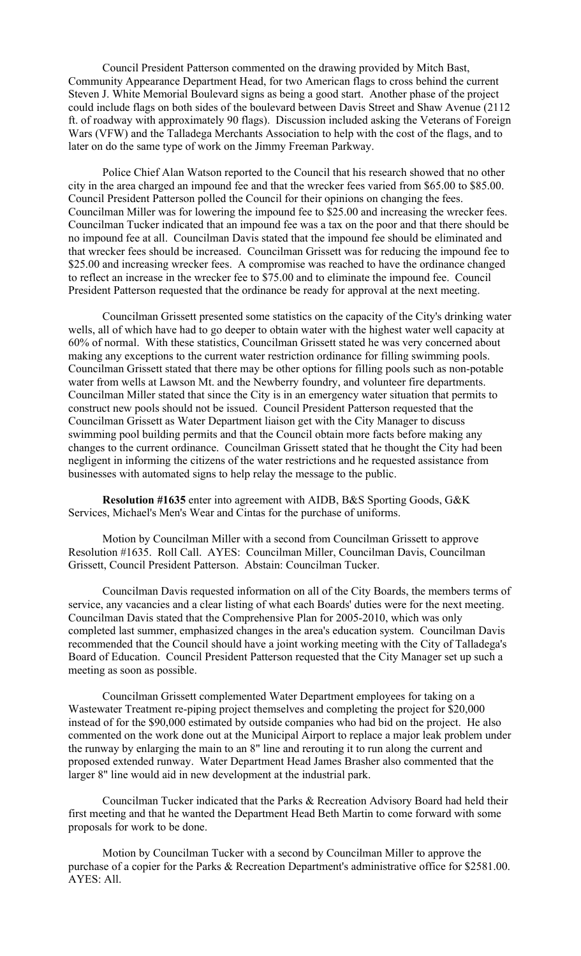Council President Patterson commented on the drawing provided by Mitch Bast, Community Appearance Department Head, for two American flags to cross behind the current Steven J. White Memorial Boulevard signs as being a good start. Another phase of the project could include flags on both sides of the boulevard between Davis Street and Shaw Avenue (2112 ft. of roadway with approximately 90 flags). Discussion included asking the Veterans of Foreign Wars (VFW) and the Talladega Merchants Association to help with the cost of the flags, and to later on do the same type of work on the Jimmy Freeman Parkway.

Police Chief Alan Watson reported to the Council that his research showed that no other city in the area charged an impound fee and that the wrecker fees varied from \$65.00 to \$85.00. Council President Patterson polled the Council for their opinions on changing the fees. Councilman Miller was for lowering the impound fee to \$25.00 and increasing the wrecker fees. Councilman Tucker indicated that an impound fee was a tax on the poor and that there should be no impound fee at all. Councilman Davis stated that the impound fee should be eliminated and that wrecker fees should be increased. Councilman Grissett was for reducing the impound fee to \$25.00 and increasing wrecker fees. A compromise was reached to have the ordinance changed to reflect an increase in the wrecker fee to \$75.00 and to eliminate the impound fee. Council President Patterson requested that the ordinance be ready for approval at the next meeting.

Councilman Grissett presented some statistics on the capacity of the City's drinking water wells, all of which have had to go deeper to obtain water with the highest water well capacity at 60% of normal. With these statistics, Councilman Grissett stated he was very concerned about making any exceptions to the current water restriction ordinance for filling swimming pools. Councilman Grissett stated that there may be other options for filling pools such as non-potable water from wells at Lawson Mt. and the Newberry foundry, and volunteer fire departments. Councilman Miller stated that since the City is in an emergency water situation that permits to construct new pools should not be issued. Council President Patterson requested that the Councilman Grissett as Water Department liaison get with the City Manager to discuss swimming pool building permits and that the Council obtain more facts before making any changes to the current ordinance. Councilman Grissett stated that he thought the City had been negligent in informing the citizens of the water restrictions and he requested assistance from businesses with automated signs to help relay the message to the public.

**Resolution #1635** enter into agreement with AIDB, B&S Sporting Goods, G&K Services, Michael's Men's Wear and Cintas for the purchase of uniforms.

Motion by Councilman Miller with a second from Councilman Grissett to approve Resolution #1635. Roll Call. AYES: Councilman Miller, Councilman Davis, Councilman Grissett, Council President Patterson. Abstain: Councilman Tucker.

Councilman Davis requested information on all of the City Boards, the members terms of service, any vacancies and a clear listing of what each Boards' duties were for the next meeting. Councilman Davis stated that the Comprehensive Plan for 2005-2010, which was only completed last summer, emphasized changes in the area's education system. Councilman Davis recommended that the Council should have a joint working meeting with the City of Talladega's Board of Education. Council President Patterson requested that the City Manager set up such a meeting as soon as possible.

Councilman Grissett complemented Water Department employees for taking on a Wastewater Treatment re-piping project themselves and completing the project for \$20,000 instead of for the \$90,000 estimated by outside companies who had bid on the project. He also commented on the work done out at the Municipal Airport to replace a major leak problem under the runway by enlarging the main to an 8" line and rerouting it to run along the current and proposed extended runway. Water Department Head James Brasher also commented that the larger 8" line would aid in new development at the industrial park.

Councilman Tucker indicated that the Parks & Recreation Advisory Board had held their first meeting and that he wanted the Department Head Beth Martin to come forward with some proposals for work to be done.

Motion by Councilman Tucker with a second by Councilman Miller to approve the purchase of a copier for the Parks & Recreation Department's administrative office for \$2581.00. AYES: All.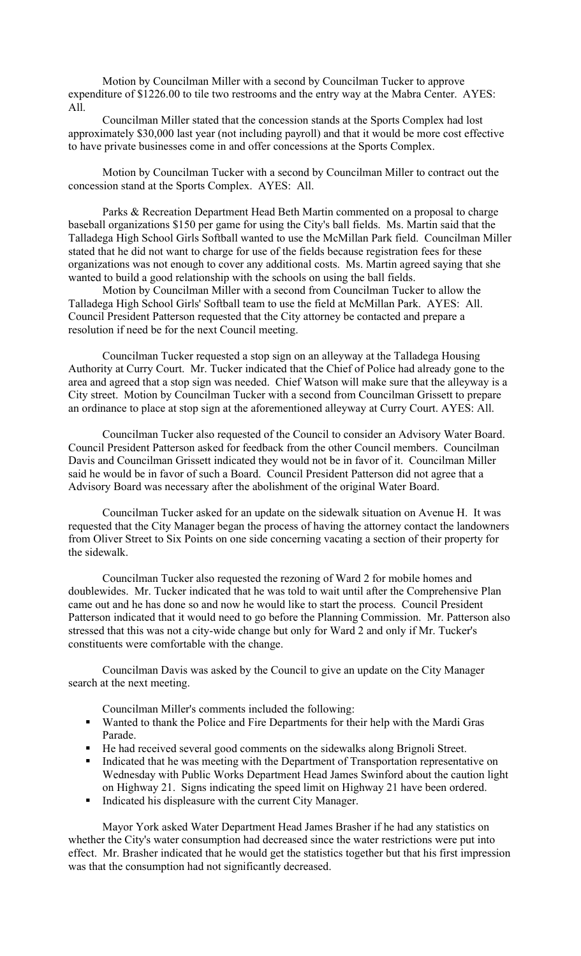Motion by Councilman Miller with a second by Councilman Tucker to approve expenditure of \$1226.00 to tile two restrooms and the entry way at the Mabra Center. AYES: All.

Councilman Miller stated that the concession stands at the Sports Complex had lost approximately \$30,000 last year (not including payroll) and that it would be more cost effective to have private businesses come in and offer concessions at the Sports Complex.

Motion by Councilman Tucker with a second by Councilman Miller to contract out the concession stand at the Sports Complex. AYES: All.

Parks & Recreation Department Head Beth Martin commented on a proposal to charge baseball organizations \$150 per game for using the City's ball fields. Ms. Martin said that the Talladega High School Girls Softball wanted to use the McMillan Park field. Councilman Miller stated that he did not want to charge for use of the fields because registration fees for these organizations was not enough to cover any additional costs. Ms. Martin agreed saying that she wanted to build a good relationship with the schools on using the ball fields.

Motion by Councilman Miller with a second from Councilman Tucker to allow the Talladega High School Girls' Softball team to use the field at McMillan Park. AYES: All. Council President Patterson requested that the City attorney be contacted and prepare a resolution if need be for the next Council meeting.

Councilman Tucker requested a stop sign on an alleyway at the Talladega Housing Authority at Curry Court. Mr. Tucker indicated that the Chief of Police had already gone to the area and agreed that a stop sign was needed. Chief Watson will make sure that the alleyway is a City street. Motion by Councilman Tucker with a second from Councilman Grissett to prepare an ordinance to place at stop sign at the aforementioned alleyway at Curry Court. AYES: All.

Councilman Tucker also requested of the Council to consider an Advisory Water Board. Council President Patterson asked for feedback from the other Council members. Councilman Davis and Councilman Grissett indicated they would not be in favor of it. Councilman Miller said he would be in favor of such a Board. Council President Patterson did not agree that a Advisory Board was necessary after the abolishment of the original Water Board.

Councilman Tucker asked for an update on the sidewalk situation on Avenue H. It was requested that the City Manager began the process of having the attorney contact the landowners from Oliver Street to Six Points on one side concerning vacating a section of their property for the sidewalk.

Councilman Tucker also requested the rezoning of Ward 2 for mobile homes and doublewides. Mr. Tucker indicated that he was told to wait until after the Comprehensive Plan came out and he has done so and now he would like to start the process. Council President Patterson indicated that it would need to go before the Planning Commission. Mr. Patterson also stressed that this was not a city-wide change but only for Ward 2 and only if Mr. Tucker's constituents were comfortable with the change.

Councilman Davis was asked by the Council to give an update on the City Manager search at the next meeting.

Councilman Miller's comments included the following:

- Wanted to thank the Police and Fire Departments for their help with the Mardi Gras Parade.
- He had received several good comments on the sidewalks along Brignoli Street.
- Indicated that he was meeting with the Department of Transportation representative on Wednesday with Public Works Department Head James Swinford about the caution light on Highway 21. Signs indicating the speed limit on Highway 21 have been ordered.
- Indicated his displeasure with the current City Manager.

Mayor York asked Water Department Head James Brasher if he had any statistics on whether the City's water consumption had decreased since the water restrictions were put into effect. Mr. Brasher indicated that he would get the statistics together but that his first impression was that the consumption had not significantly decreased.